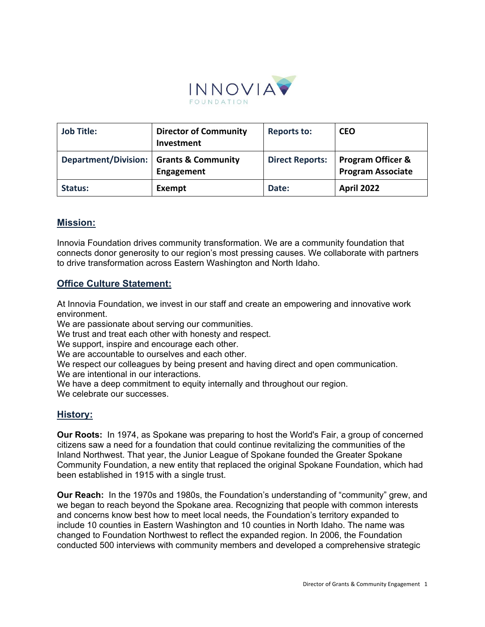

| <b>Job Title:</b>                         | <b>Director of Community</b><br>Investment | <b>Reports to:</b>     | <b>CEO</b>                                               |
|-------------------------------------------|--------------------------------------------|------------------------|----------------------------------------------------------|
| Department/Division:   Grants & Community | Engagement                                 | <b>Direct Reports:</b> | <b>Program Officer &amp;</b><br><b>Program Associate</b> |
| Status:                                   | Exempt                                     | Date:                  | <b>April 2022</b>                                        |

## **Mission:**

Innovia Foundation drives community transformation. We are a community foundation that connects donor generosity to our region's most pressing causes. We collaborate with partners to drive transformation across Eastern Washington and North Idaho.

## **Office Culture Statement:**

At Innovia Foundation, we invest in our staff and create an empowering and innovative work environment.

We are passionate about serving our communities.

We trust and treat each other with honesty and respect.

We support, inspire and encourage each other.

We are accountable to ourselves and each other.

We respect our colleagues by being present and having direct and open communication. We are intentional in our interactions.

We have a deep commitment to equity internally and throughout our region.

We celebrate our successes.

## **History:**

**Our Roots:** In 1974, as Spokane was preparing to host the World's Fair, a group of concerned citizens saw a need for a foundation that could continue revitalizing the communities of the Inland Northwest. That year, the Junior League of Spokane founded the Greater Spokane Community Foundation, a new entity that replaced the original Spokane Foundation, which had been established in 1915 with a single trust. 

**Our Reach:** In the 1970s and 1980s, the Foundation's understanding of "community" grew, and we began to reach beyond the Spokane area. Recognizing that people with common interests and concerns know best how to meet local needs, the Foundation's territory expanded to include 10 counties in Eastern Washington and 10 counties in North Idaho. The name was changed to Foundation Northwest to reflect the expanded region. In 2006, the Foundation conducted 500 interviews with community members and developed a comprehensive strategic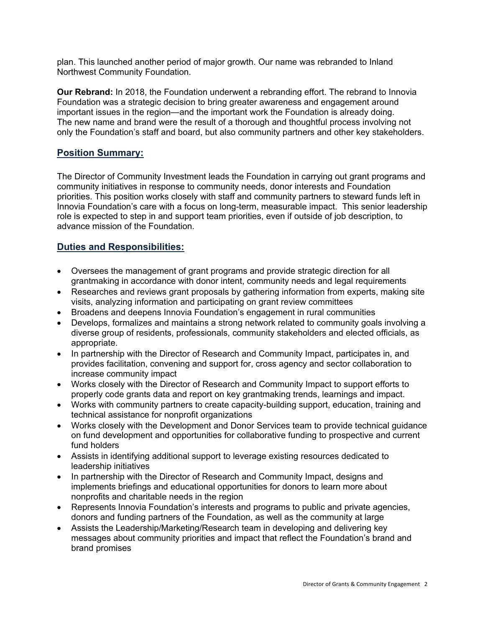plan. This launched another period of major growth. Our name was rebranded to Inland Northwest Community Foundation.

**Our Rebrand:** In 2018, the Foundation underwent a rebranding effort. The rebrand to Innovia Foundation was a strategic decision to bring greater awareness and engagement around important issues in the region—and the important work the Foundation is already doing. The new name and brand were the result of a thorough and thoughtful process involving not only the Foundation's staff and board, but also community partners and other key stakeholders.

## **Position Summary:**

The Director of Community Investment leads the Foundation in carrying out grant programs and community initiatives in response to community needs, donor interests and Foundation priorities. This position works closely with staff and community partners to steward funds left in Innovia Foundation's care with a focus on long-term, measurable impact. This senior leadership role is expected to step in and support team priorities, even if outside of job description, to advance mission of the Foundation.

## **Duties and Responsibilities:**

- Oversees the management of grant programs and provide strategic direction for all grantmaking in accordance with donor intent, community needs and legal requirements
- Researches and reviews grant proposals by gathering information from experts, making site visits, analyzing information and participating on grant review committees
- Broadens and deepens Innovia Foundation's engagement in rural communities
- Develops, formalizes and maintains a strong network related to community goals involving a diverse group of residents, professionals, community stakeholders and elected officials, as appropriate.
- In partnership with the Director of Research and Community Impact, participates in, and provides facilitation, convening and support for, cross agency and sector collaboration to increase community impact
- Works closely with the Director of Research and Community Impact to support efforts to properly code grants data and report on key grantmaking trends, learnings and impact.
- Works with community partners to create capacity-building support, education, training and technical assistance for nonprofit organizations
- Works closely with the Development and Donor Services team to provide technical guidance on fund development and opportunities for collaborative funding to prospective and current fund holders
- Assists in identifying additional support to leverage existing resources dedicated to leadership initiatives
- In partnership with the Director of Research and Community Impact, designs and implements briefings and educational opportunities for donors to learn more about nonprofits and charitable needs in the region
- Represents Innovia Foundation's interests and programs to public and private agencies, donors and funding partners of the Foundation, as well as the community at large
- Assists the Leadership/Marketing/Research team in developing and delivering key messages about community priorities and impact that reflect the Foundation's brand and brand promises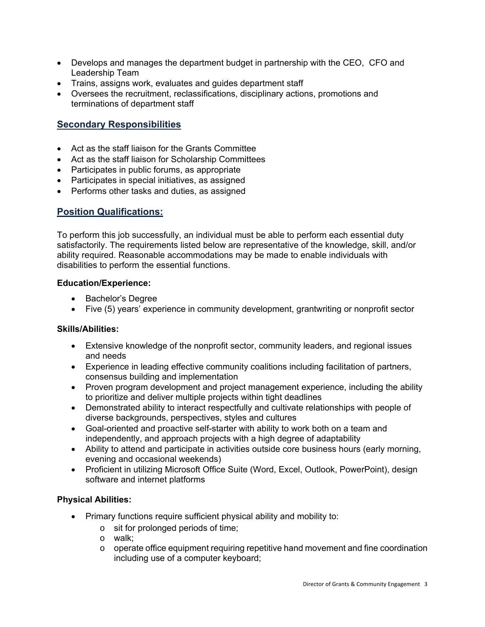- Develops and manages the department budget in partnership with the CEO, CFO and Leadership Team
- Trains, assigns work, evaluates and guides department staff
- Oversees the recruitment, reclassifications, disciplinary actions, promotions and terminations of department staff

# **Secondary Responsibilities**

- Act as the staff liaison for the Grants Committee
- Act as the staff liaison for Scholarship Committees
- Participates in public forums, as appropriate
- Participates in special initiatives, as assigned
- Performs other tasks and duties, as assigned

## **Position Qualifications:**

To perform this job successfully, an individual must be able to perform each essential duty satisfactorily. The requirements listed below are representative of the knowledge, skill, and/or ability required. Reasonable accommodations may be made to enable individuals with disabilities to perform the essential functions.

#### **Education/Experience:**

- Bachelor's Degree
- Five (5) years' experience in community development, grantwriting or nonprofit sector

#### **Skills/Abilities:**

- Extensive knowledge of the nonprofit sector, community leaders, and regional issues and needs
- Experience in leading effective community coalitions including facilitation of partners, consensus building and implementation
- Proven program development and project management experience, including the ability to prioritize and deliver multiple projects within tight deadlines
- Demonstrated ability to interact respectfully and cultivate relationships with people of diverse backgrounds, perspectives, styles and cultures
- Goal-oriented and proactive self-starter with ability to work both on a team and independently, and approach projects with a high degree of adaptability
- Ability to attend and participate in activities outside core business hours (early morning, evening and occasional weekends)
- Proficient in utilizing Microsoft Office Suite (Word, Excel, Outlook, PowerPoint), design software and internet platforms

### **Physical Abilities:**

- Primary functions require sufficient physical ability and mobility to:
	- o sit for prolonged periods of time;
	- o walk;
	- $\circ$  operate office equipment requiring repetitive hand movement and fine coordination including use of a computer keyboard;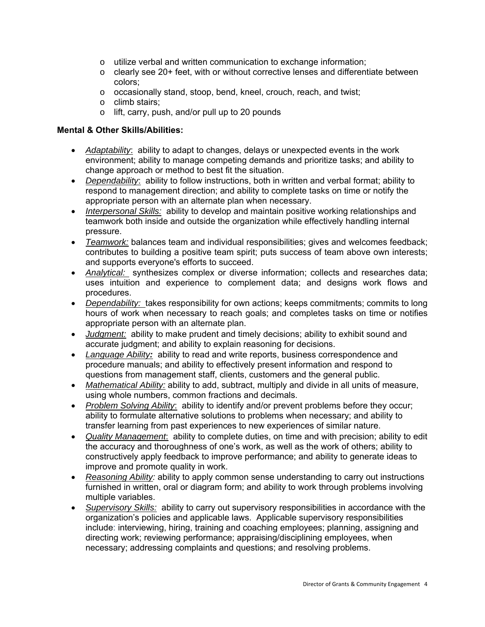- o utilize verbal and written communication to exchange information;
- $\circ$  clearly see 20+ feet, with or without corrective lenses and differentiate between colors;
- o occasionally stand, stoop, bend, kneel, crouch, reach, and twist;
- o climb stairs;
- o lift, carry, push, and/or pull up to 20 pounds

## **Mental & Other Skills/Abilities:**

- *Adaptability*: ability to adapt to changes, delays or unexpected events in the work environment; ability to manage competing demands and prioritize tasks; and ability to change approach or method to best fit the situation.
- *Dependability*: ability to follow instructions, both in written and verbal format; ability to respond to management direction; and ability to complete tasks on time or notify the appropriate person with an alternate plan when necessary.
- *Interpersonal Skills:* ability to develop and maintain positive working relationships and teamwork both inside and outside the organization while effectively handling internal pressure.
- *Teamwork:* balances team and individual responsibilities; gives and welcomes feedback; contributes to building a positive team spirit; puts success of team above own interests; and supports everyone's efforts to succeed.
- *Analytical:* synthesizes complex or diverse information; collects and researches data; uses intuition and experience to complement data; and designs work flows and procedures.
- *Dependability:* takes responsibility for own actions; keeps commitments; commits to long hours of work when necessary to reach goals; and completes tasks on time or notifies appropriate person with an alternate plan.
- *Judgment:* ability to make prudent and timely decisions; ability to exhibit sound and accurate judgment; and ability to explain reasoning for decisions.
- *Language Ability:* ability to read and write reports, business correspondence and procedure manuals; and ability to effectively present information and respond to questions from management staff, clients, customers and the general public.
- *Mathematical Ability:* ability to add, subtract, multiply and divide in all units of measure, using whole numbers, common fractions and decimals.
- *Problem Solving Ability*: ability to identify and/or prevent problems before they occur; ability to formulate alternative solutions to problems when necessary; and ability to transfer learning from past experiences to new experiences of similar nature.
- *Quality Management*: ability to complete duties, on time and with precision; ability to edit the accuracy and thoroughness of one's work, as well as the work of others; ability to constructively apply feedback to improve performance; and ability to generate ideas to improve and promote quality in work.
- *Reasoning Ability:* ability to apply common sense understanding to carry out instructions furnished in written, oral or diagram form; and ability to work through problems involving multiple variables.
- *Supervisory Skills:*ability to carry out supervisory responsibilities in accordance with the organization's policies and applicable laws. Applicable supervisory responsibilities include: interviewing, hiring, training and coaching employees; planning, assigning and directing work; reviewing performance; appraising/disciplining employees, when necessary; addressing complaints and questions; and resolving problems.